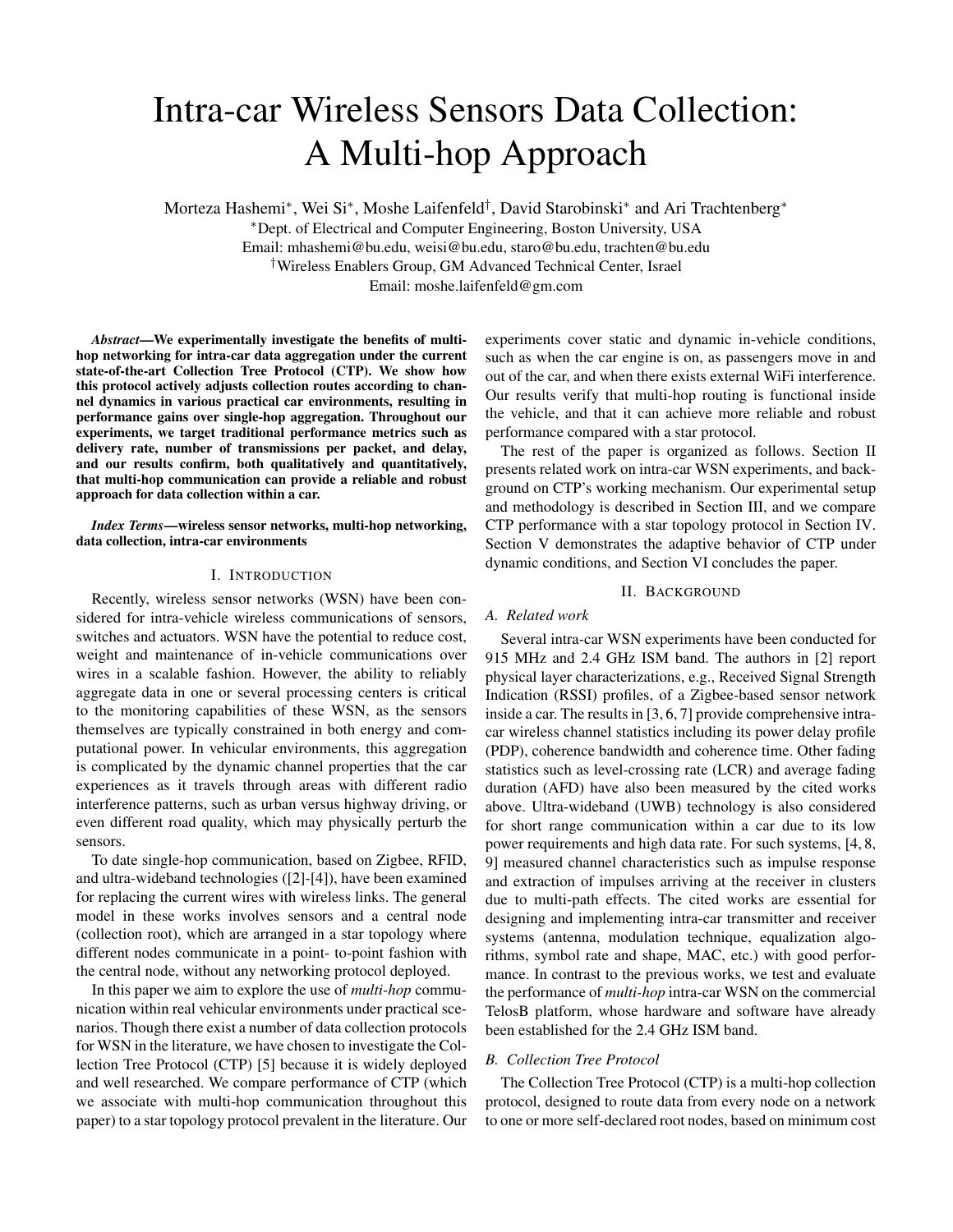# Intra-car Wireless Sensors Data Collection: A Multi-hop Approach

Morteza Hashemi\*, Wei Si\*, Moshe Laifenfeld<sup>†</sup>, David Starobinski\* and Ari Trachtenberg\* <sup>∗</sup>Dept. of Electrical and Computer Engineering, Boston University, USA Email: mhashemi@bu.edu, weisi@bu.edu, staro@bu.edu, trachten@bu.edu †Wireless Enablers Group, GM Advanced Technical Center, Israel Email: moshe.laifenfeld@gm.com

*Abstract*—We experimentally investigate the benefits of multihop networking for intra-car data aggregation under the current state-of-the-art Collection Tree Protocol (CTP). We show how this protocol actively adjusts collection routes according to channel dynamics in various practical car environments, resulting in performance gains over single-hop aggregation. Throughout our experiments, we target traditional performance metrics such as delivery rate, number of transmissions per packet, and delay, and our results confirm, both qualitatively and quantitatively, that multi-hop communication can provide a reliable and robust approach for data collection within a car.

## *Index Terms*—wireless sensor networks, multi-hop networking, data collection, intra-car environments

## I. INTRODUCTION

Recently, wireless sensor networks (WSN) have been considered for intra-vehicle wireless communications of sensors, switches and actuators. WSN have the potential to reduce cost, weight and maintenance of in-vehicle communications over wires in a scalable fashion. However, the ability to reliably aggregate data in one or several processing centers is critical to the monitoring capabilities of these WSN, as the sensors themselves are typically constrained in both energy and computational power. In vehicular environments, this aggregation is complicated by the dynamic channel properties that the car experiences as it travels through areas with different radio interference patterns, such as urban versus highway driving, or even different road quality, which may physically perturb the sensors.

To date single-hop communication, based on Zigbee, RFID, and ultra-wideband technologies ([2]-[4]), have been examined for replacing the current wires with wireless links. The general model in these works involves sensors and a central node (collection root), which are arranged in a star topology where different nodes communicate in a point- to-point fashion with the central node, without any networking protocol deployed.

In this paper we aim to explore the use of *multi-hop* communication within real vehicular environments under practical scenarios. Though there exist a number of data collection protocols for WSN in the literature, we have chosen to investigate the Collection Tree Protocol (CTP) [5] because it is widely deployed and well researched. We compare performance of CTP (which we associate with multi-hop communication throughout this paper) to a star topology protocol prevalent in the literature. Our

experiments cover static and dynamic in-vehicle conditions, such as when the car engine is on, as passengers move in and out of the car, and when there exists external WiFi interference. Our results verify that multi-hop routing is functional inside the vehicle, and that it can achieve more reliable and robust performance compared with a star protocol.

The rest of the paper is organized as follows. Section II presents related work on intra-car WSN experiments, and background on CTP's working mechanism. Our experimental setup and methodology is described in Section III, and we compare CTP performance with a star topology protocol in Section IV. Section V demonstrates the adaptive behavior of CTP under dynamic conditions, and Section VI concludes the paper.

## II. BACKGROUND

# *A. Related work*

Several intra-car WSN experiments have been conducted for 915 MHz and 2.4 GHz ISM band. The authors in [2] report physical layer characterizations, e.g., Received Signal Strength Indication (RSSI) profiles, of a Zigbee-based sensor network inside a car. The results in [3, 6, 7] provide comprehensive intracar wireless channel statistics including its power delay profile (PDP), coherence bandwidth and coherence time. Other fading statistics such as level-crossing rate (LCR) and average fading duration (AFD) have also been measured by the cited works above. Ultra-wideband (UWB) technology is also considered for short range communication within a car due to its low power requirements and high data rate. For such systems, [4, 8, 9] measured channel characteristics such as impulse response and extraction of impulses arriving at the receiver in clusters due to multi-path effects. The cited works are essential for designing and implementing intra-car transmitter and receiver systems (antenna, modulation technique, equalization algorithms, symbol rate and shape, MAC, etc.) with good performance. In contrast to the previous works, we test and evaluate the performance of *multi-hop* intra-car WSN on the commercial TelosB platform, whose hardware and software have already been established for the 2.4 GHz ISM band.

## *B. Collection Tree Protocol*

The Collection Tree Protocol (CTP) is a multi-hop collection protocol, designed to route data from every node on a network to one or more self-declared root nodes, based on minimum cost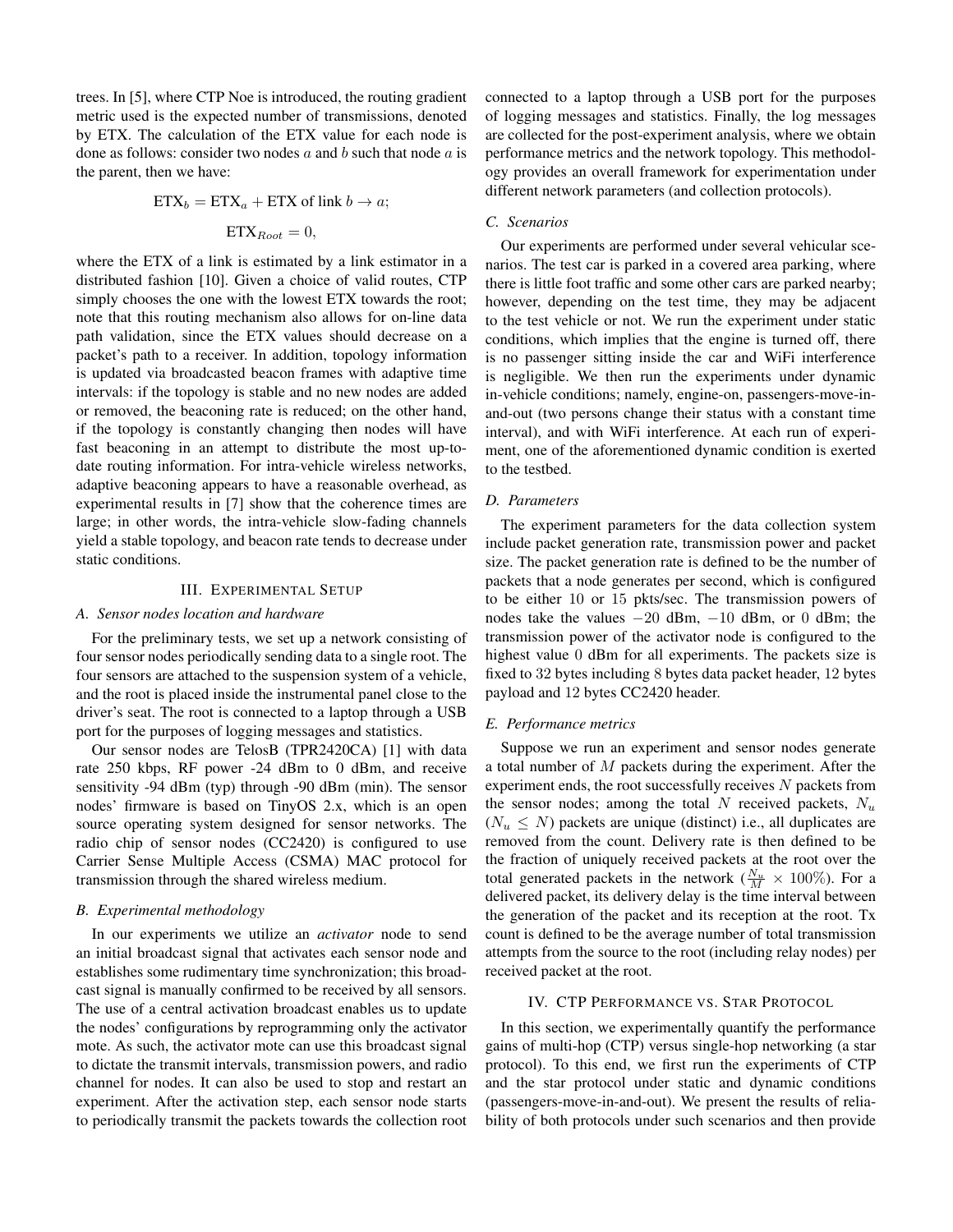trees. In [5], where CTP Noe is introduced, the routing gradient metric used is the expected number of transmissions, denoted by ETX. The calculation of the ETX value for each node is done as follows: consider two nodes  $a$  and  $b$  such that node  $a$  is the parent, then we have:

$$
ETX_b = ETX_a + ETX \text{ of link } b \to a;
$$

$$
ETX_{Root} = 0,
$$

where the ETX of a link is estimated by a link estimator in a distributed fashion [10]. Given a choice of valid routes, CTP simply chooses the one with the lowest ETX towards the root; note that this routing mechanism also allows for on-line data path validation, since the ETX values should decrease on a packet's path to a receiver. In addition, topology information is updated via broadcasted beacon frames with adaptive time intervals: if the topology is stable and no new nodes are added or removed, the beaconing rate is reduced; on the other hand, if the topology is constantly changing then nodes will have fast beaconing in an attempt to distribute the most up-todate routing information. For intra-vehicle wireless networks, adaptive beaconing appears to have a reasonable overhead, as experimental results in [7] show that the coherence times are large; in other words, the intra-vehicle slow-fading channels yield a stable topology, and beacon rate tends to decrease under static conditions.

## III. EXPERIMENTAL SETUP

#### *A. Sensor nodes location and hardware*

For the preliminary tests, we set up a network consisting of four sensor nodes periodically sending data to a single root. The four sensors are attached to the suspension system of a vehicle, and the root is placed inside the instrumental panel close to the driver's seat. The root is connected to a laptop through a USB port for the purposes of logging messages and statistics.

Our sensor nodes are TelosB (TPR2420CA) [1] with data rate 250 kbps, RF power -24 dBm to 0 dBm, and receive sensitivity -94 dBm (typ) through -90 dBm (min). The sensor nodes' firmware is based on TinyOS 2.x, which is an open source operating system designed for sensor networks. The radio chip of sensor nodes (CC2420) is configured to use Carrier Sense Multiple Access (CSMA) MAC protocol for transmission through the shared wireless medium.

## *B. Experimental methodology*

In our experiments we utilize an *activator* node to send an initial broadcast signal that activates each sensor node and establishes some rudimentary time synchronization; this broadcast signal is manually confirmed to be received by all sensors. The use of a central activation broadcast enables us to update the nodes' configurations by reprogramming only the activator mote. As such, the activator mote can use this broadcast signal to dictate the transmit intervals, transmission powers, and radio channel for nodes. It can also be used to stop and restart an experiment. After the activation step, each sensor node starts to periodically transmit the packets towards the collection root

connected to a laptop through a USB port for the purposes of logging messages and statistics. Finally, the log messages are collected for the post-experiment analysis, where we obtain performance metrics and the network topology. This methodology provides an overall framework for experimentation under different network parameters (and collection protocols).

## *C. Scenarios*

Our experiments are performed under several vehicular scenarios. The test car is parked in a covered area parking, where there is little foot traffic and some other cars are parked nearby; however, depending on the test time, they may be adjacent to the test vehicle or not. We run the experiment under static conditions, which implies that the engine is turned off, there is no passenger sitting inside the car and WiFi interference is negligible. We then run the experiments under dynamic in-vehicle conditions; namely, engine-on, passengers-move-inand-out (two persons change their status with a constant time interval), and with WiFi interference. At each run of experiment, one of the aforementioned dynamic condition is exerted to the testbed.

## *D. Parameters*

The experiment parameters for the data collection system include packet generation rate, transmission power and packet size. The packet generation rate is defined to be the number of packets that a node generates per second, which is configured to be either 10 or 15 pkts/sec. The transmission powers of nodes take the values  $-20$  dBm,  $-10$  dBm, or 0 dBm; the transmission power of the activator node is configured to the highest value 0 dBm for all experiments. The packets size is fixed to 32 bytes including 8 bytes data packet header, 12 bytes payload and 12 bytes CC2420 header.

#### *E. Performance metrics*

Suppose we run an experiment and sensor nodes generate a total number of M packets during the experiment. After the experiment ends, the root successfully receives  $N$  packets from the sensor nodes; among the total N received packets,  $N_u$  $(N_u \leq N)$  packets are unique (distinct) i.e., all duplicates are removed from the count. Delivery rate is then defined to be the fraction of uniquely received packets at the root over the total generated packets in the network ( $\frac{N_u}{M} \times 100\%$ ). For a delivered packet, its delivery delay is the time interval between the generation of the packet and its reception at the root. Tx count is defined to be the average number of total transmission attempts from the source to the root (including relay nodes) per received packet at the root.

#### IV. CTP PERFORMANCE VS. STAR PROTOCOL

In this section, we experimentally quantify the performance gains of multi-hop (CTP) versus single-hop networking (a star protocol). To this end, we first run the experiments of CTP and the star protocol under static and dynamic conditions (passengers-move-in-and-out). We present the results of reliability of both protocols under such scenarios and then provide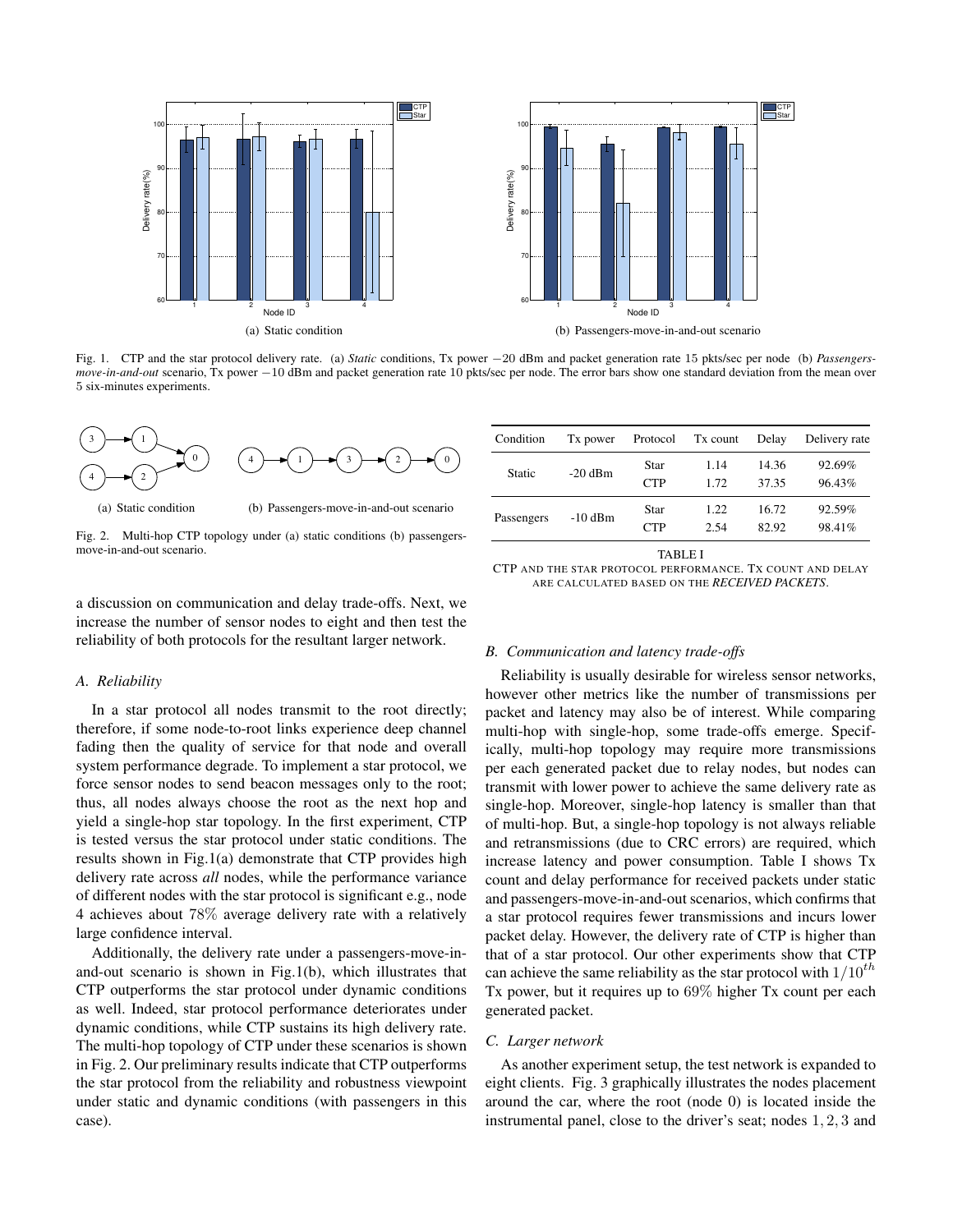

Fig. 1. CTP and the star protocol delivery rate. (a) *Static* conditions, Tx power −20 dBm and packet generation rate 15 pkts/sec per node (b) *Passengersmove-in-and-out* scenario, Tx power −10 dBm and packet generation rate 10 pkts/sec per node. The error bars show one standard deviation from the mean over 5 six-minutes experiments.



(a) Static condition

(b) Passengers-move-in-and-out scenario

Fig. 2. Multi-hop CTP topology under (a) static conditions (b) passengersmove-in-and-out scenario.

a discussion on communication and delay trade-offs. Next, we increase the number of sensor nodes to eight and then test the reliability of both protocols for the resultant larger network.

## *A. Reliability*

In a star protocol all nodes transmit to the root directly; therefore, if some node-to-root links experience deep channel fading then the quality of service for that node and overall system performance degrade. To implement a star protocol, we force sensor nodes to send beacon messages only to the root; thus, all nodes always choose the root as the next hop and yield a single-hop star topology. In the first experiment, CTP is tested versus the star protocol under static conditions. The results shown in Fig.1(a) demonstrate that CTP provides high delivery rate across *all* nodes, while the performance variance of different nodes with the star protocol is significant e.g., node 4 achieves about 78% average delivery rate with a relatively large confidence interval.

Additionally, the delivery rate under a passengers-move-inand-out scenario is shown in Fig.1(b), which illustrates that CTP outperforms the star protocol under dynamic conditions as well. Indeed, star protocol performance deteriorates under dynamic conditions, while CTP sustains its high delivery rate. The multi-hop topology of CTP under these scenarios is shown in Fig. 2. Our preliminary results indicate that CTP outperforms the star protocol from the reliability and robustness viewpoint under static and dynamic conditions (with passengers in this case).

| Condition     | T <sub>x</sub> power | Protocol           | Tx count     | Delay          | Delivery rate    |
|---------------|----------------------|--------------------|--------------|----------------|------------------|
| <b>Static</b> | $-20$ dBm            | Star<br><b>CTP</b> | 1.14<br>1.72 | 14.36<br>37.35 | 92.69%<br>96.43% |
| Passengers    | $-10$ dBm            | Star<br><b>CTP</b> | 1.22<br>2.54 | 16.72<br>82.92 | 92.59%<br>98.41% |

TABLE I

CTP AND THE STAR PROTOCOL PERFORMANCE. TX COUNT AND DELAY ARE CALCULATED BASED ON THE *RECEIVED PACKETS*.

#### *B. Communication and latency trade-offs*

Reliability is usually desirable for wireless sensor networks, however other metrics like the number of transmissions per packet and latency may also be of interest. While comparing multi-hop with single-hop, some trade-offs emerge. Specifically, multi-hop topology may require more transmissions per each generated packet due to relay nodes, but nodes can transmit with lower power to achieve the same delivery rate as single-hop. Moreover, single-hop latency is smaller than that of multi-hop. But, a single-hop topology is not always reliable and retransmissions (due to CRC errors) are required, which increase latency and power consumption. Table I shows Tx count and delay performance for received packets under static and passengers-move-in-and-out scenarios, which confirms that a star protocol requires fewer transmissions and incurs lower packet delay. However, the delivery rate of CTP is higher than that of a star protocol. Our other experiments show that CTP can achieve the same reliability as the star protocol with  $1/10^{th}$ Tx power, but it requires up to 69% higher Tx count per each generated packet.

## *C. Larger network*

As another experiment setup, the test network is expanded to eight clients. Fig. 3 graphically illustrates the nodes placement around the car, where the root (node 0) is located inside the instrumental panel, close to the driver's seat; nodes 1, 2, 3 and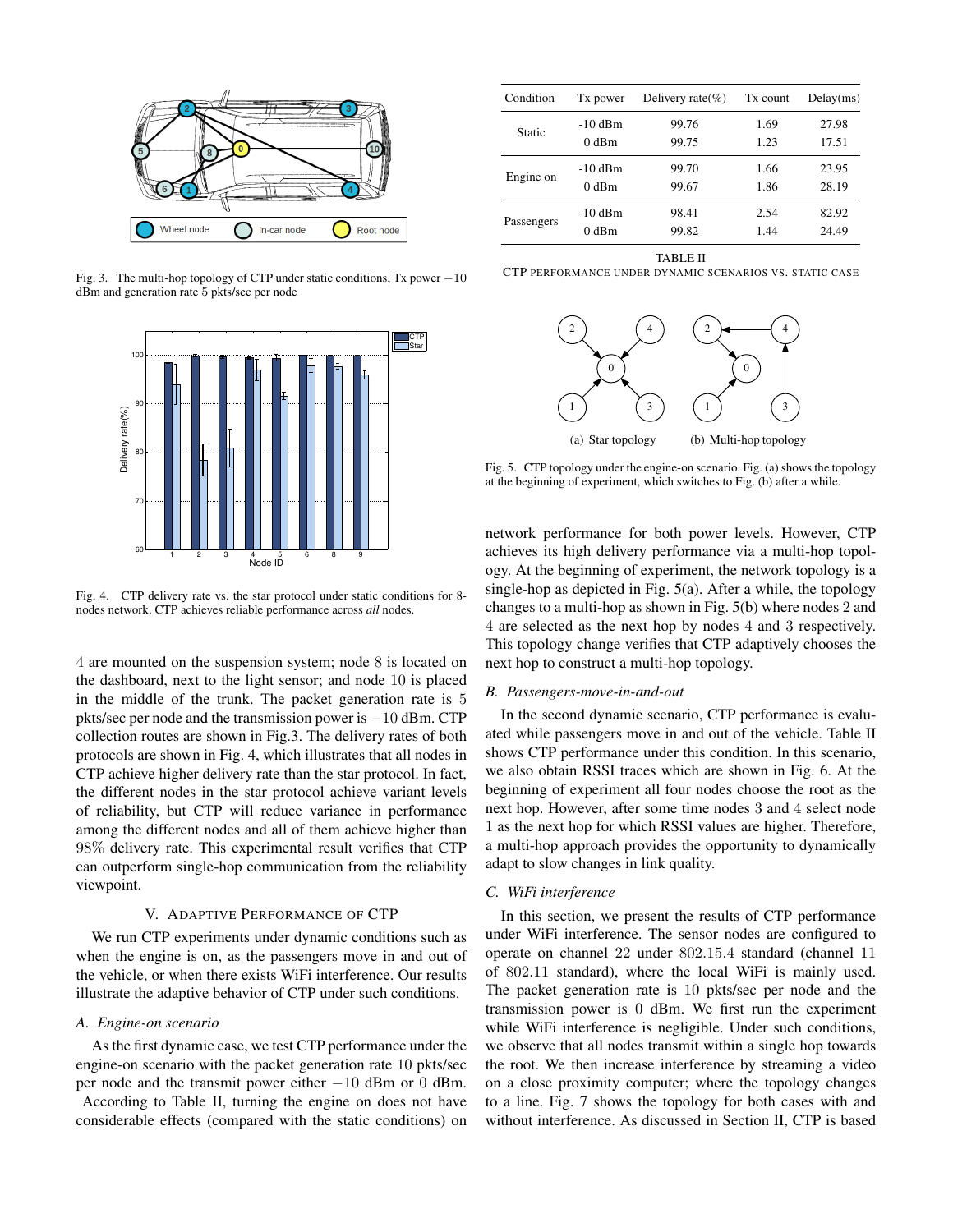

Fig. 3. The multi-hop topology of CTP under static conditions, Tx power  $-10$ dBm and generation rate 5 pkts/sec per node



Fig. 4. CTP delivery rate vs. the star protocol under static conditions for 8 nodes network. CTP achieves reliable performance across *all* nodes.

4 are mounted on the suspension system; node 8 is located on the dashboard, next to the light sensor; and node 10 is placed in the middle of the trunk. The packet generation rate is 5 pkts/sec per node and the transmission power is −10 dBm. CTP collection routes are shown in Fig.3. The delivery rates of both protocols are shown in Fig. 4, which illustrates that all nodes in CTP achieve higher delivery rate than the star protocol. In fact, the different nodes in the star protocol achieve variant levels of reliability, but CTP will reduce variance in performance among the different nodes and all of them achieve higher than 98% delivery rate. This experimental result verifies that CTP can outperform single-hop communication from the reliability viewpoint.

## V. ADAPTIVE PERFORMANCE OF CTP

We run CTP experiments under dynamic conditions such as when the engine is on, as the passengers move in and out of the vehicle, or when there exists WiFi interference. Our results illustrate the adaptive behavior of CTP under such conditions.

## *A. Engine-on scenario*

As the first dynamic case, we test CTP performance under the engine-on scenario with the packet generation rate 10 pkts/sec per node and the transmit power either −10 dBm or 0 dBm. According to Table II, turning the engine on does not have considerable effects (compared with the static conditions) on

| Condition  | Tx power  | Delivery rate $(\%)$ | Tx count | Delay(ms) |
|------------|-----------|----------------------|----------|-----------|
| Static     | $-10$ dBm | 99.76                | 1.69     | 27.98     |
|            | $0$ dBm   | 99.75                | 1.23     | 17.51     |
| Engine on  | $-10$ dBm | 99.70                | 1.66     | 23.95     |
|            | $0$ dBm   | 99.67                | 1.86     | 28.19     |
| Passengers | $-10$ dBm | 98.41                | 2.54     | 82.92     |
|            | $0$ dBm   | 99.82                | 1.44     | 24.49     |

TABLE II

CTP PERFORMANCE UNDER DYNAMIC SCENARIOS VS. STATIC CASE



Fig. 5. CTP topology under the engine-on scenario. Fig. (a) shows the topology at the beginning of experiment, which switches to Fig. (b) after a while.

network performance for both power levels. However, CTP achieves its high delivery performance via a multi-hop topology. At the beginning of experiment, the network topology is a single-hop as depicted in Fig. 5(a). After a while, the topology changes to a multi-hop as shown in Fig. 5(b) where nodes 2 and 4 are selected as the next hop by nodes 4 and 3 respectively. This topology change verifies that CTP adaptively chooses the next hop to construct a multi-hop topology.

## *B. Passengers-move-in-and-out*

In the second dynamic scenario, CTP performance is evaluated while passengers move in and out of the vehicle. Table II shows CTP performance under this condition. In this scenario, we also obtain RSSI traces which are shown in Fig. 6. At the beginning of experiment all four nodes choose the root as the next hop. However, after some time nodes 3 and 4 select node 1 as the next hop for which RSSI values are higher. Therefore, a multi-hop approach provides the opportunity to dynamically adapt to slow changes in link quality.

## *C. WiFi interference*

In this section, we present the results of CTP performance under WiFi interference. The sensor nodes are configured to operate on channel 22 under 802.15.4 standard (channel 11 of 802.11 standard), where the local WiFi is mainly used. The packet generation rate is 10 pkts/sec per node and the transmission power is 0 dBm. We first run the experiment while WiFi interference is negligible. Under such conditions, we observe that all nodes transmit within a single hop towards the root. We then increase interference by streaming a video on a close proximity computer; where the topology changes to a line. Fig. 7 shows the topology for both cases with and without interference. As discussed in Section II, CTP is based